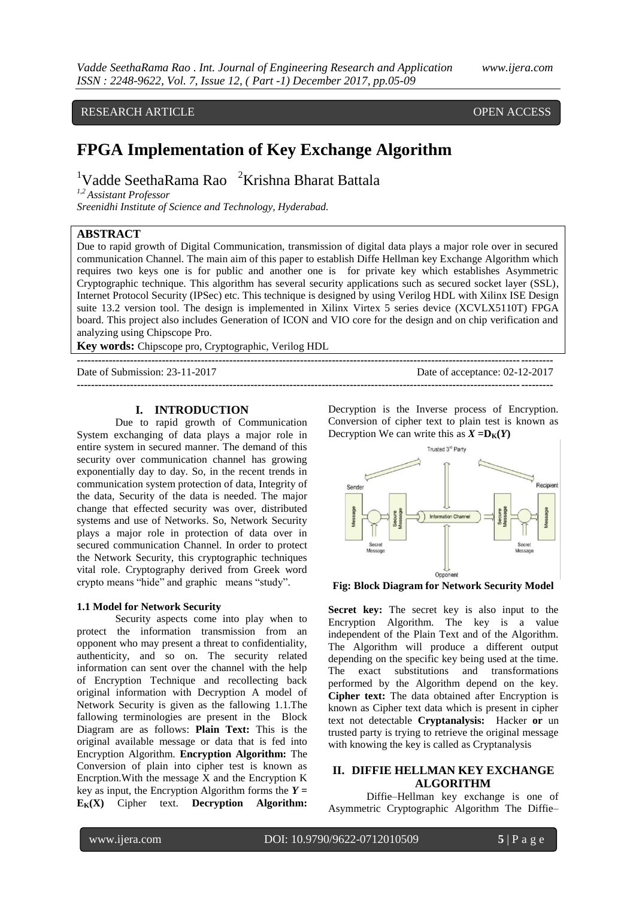# RESEARCH ARTICLE **CONSERVERS** OPEN ACCESS

# **FPGA Implementation of Key Exchange Algorithm**

<sup>1</sup>Vadde SeethaRama Rao <sup>2</sup>Krishna Bharat Battala

*1,2 Assistant Professor* 

*Sreenidhi Institute of Science and Technology, Hyderabad.*

### **ABSTRACT**

Due to rapid growth of Digital Communication, transmission of digital data plays a major role over in secured communication Channel. The main aim of this paper to establish Diffe Hellman key Exchange Algorithm which requires two keys one is for public and another one is for private key which establishes Asymmetric Cryptographic technique. This algorithm has several security applications such as secured socket layer (SSL), Internet Protocol Security (IPSec) etc. This technique is designed by using Verilog HDL with Xilinx ISE Design suite 13.2 version tool. The design is implemented in Xilinx Virtex 5 series device (XCVLX5110T) FPGA board. This project also includes Generation of ICON and VIO core for the design and on chip verification and analyzing using Chipscope Pro.

**--------------------------------------------------------------------------------------------------------------------------------------**

**Key words:** Chipscope pro, Cryptographic, Verilog HDL

Date of Submission: 23-11-2017 Date of acceptance: 02-12-2017

#### **I. INTRODUCTION**

Due to rapid growth of Communication System exchanging of data plays a major role in entire system in secured manner. The demand of this security over communication channel has growing exponentially day to day. So, in the recent trends in communication system protection of data, Integrity of the data, Security of the data is needed. The major change that effected security was over, distributed systems and use of Networks. So, Network Security plays a major role in protection of data over in secured communication Channel. In order to protect the Network Security, this cryptographic techniques vital role. Cryptography derived from Greek word crypto means "hide" and graphic means "study".

#### **1.1 Model for Network Security**

Security aspects come into play when to protect the information transmission from an opponent who may present a threat to confidentiality, authenticity, and so on. The security related information can sent over the channel with the help of Encryption Technique and recollecting back original information with Decryption A model of Network Security is given as the fallowing 1.1.The fallowing terminologies are present in the Block Diagram are as follows: **Plain Text:** This is the original available message or data that is fed into Encryption Algorithm. **Encryption Algorithm:** The Conversion of plain into cipher test is known as Encrption.With the message X and the Encryption K key as input, the Encryption Algorithm forms the  $Y =$ **EK(X)** Cipher text. **Decryption Algorithm:** 

Decryption is the Inverse process of Encryption. Conversion of cipher text to plain test is known as Decryption We can write this as  $X = D_K(Y)$ 



**Fig: Block Diagram for Network Security Model**

**Secret key:** The secret key is also input to the Encryption Algorithm. The key is a value independent of the Plain Text and of the Algorithm. The Algorithm will produce a different output depending on the specific key being used at the time. The exact substitutions and transformations performed by the Algorithm depend on the key. **Cipher text:** The data obtained after Encryption is known as Cipher text data which is present in cipher text not detectable **Cryptanalysis:** Hacker **or** un trusted party is trying to retrieve the original message with knowing the key is called as Cryptanalysis

## **II. DIFFIE HELLMAN KEY EXCHANGE ALGORITHM**

Diffie–Hellman key exchange is one of Asymmetric Cryptographic Algorithm The Diffie–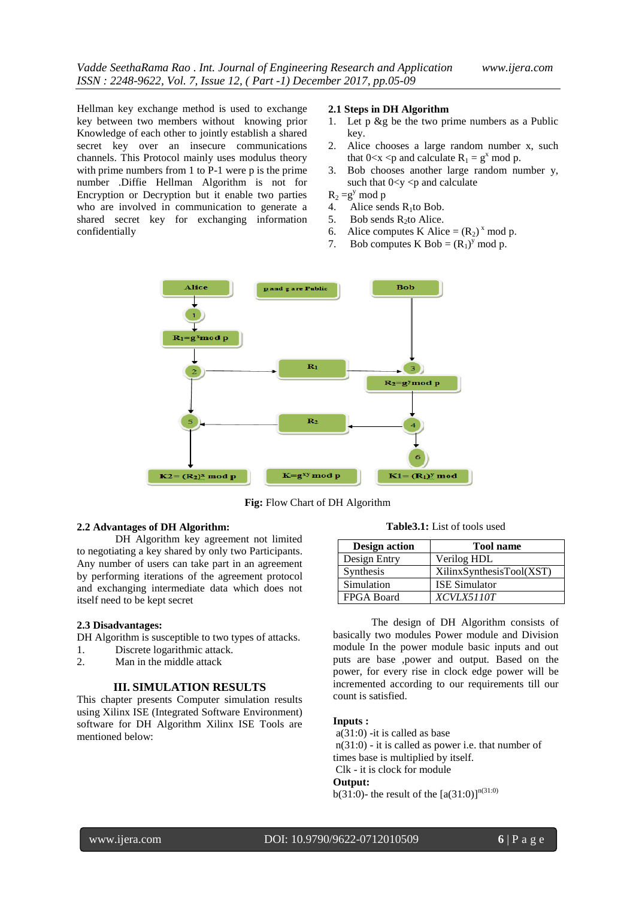Hellman key exchange method is used to exchange key between two members without knowing prior Knowledge of each other to jointly establish a shared secret key over an insecure communications channels. This Protocol mainly uses modulus theory with prime numbers from 1 to P-1 were p is the prime number .Diffie Hellman Algorithm is not for Encryption or Decryption but it enable two parties who are involved in communication to generate a shared secret key for exchanging information confidentially

#### **2.1 Steps in DH Algorithm**

- 1. Let p &g be the two prime numbers as a Public key.
- 2. Alice chooses a large random number x, such that  $0 < x < p$  and calculate  $R_1 = g^x \mod p$ .
- 3. Bob chooses another large random number y, such that  $0 < y < p$  and calculate

 $R_2 = g^y \mod p$ <br>4 Alice ser

- 4. Alice sends  $R_1$ to Bob.<br>5. Bob sends  $R_2$ to Alice.
- Bob sends R<sub>2to</sub> Alice.
- 6. Alice computes K Alice =  $(R_2)^x$  mod p.
- 7. Bob computes K Bob =  $(R_1)^y$  mod p.



**Fig:** Flow Chart of DH Algorithm

#### **2.2 Advantages of DH Algorithm:**

DH Algorithm key agreement not limited to negotiating a key shared by only two Participants. Any number of users can take part in an agreement by performing iterations of the agreement protocol and exchanging intermediate data which does not itself need to be kept secret

#### **2.3 Disadvantages:**

DH Algorithm is susceptible to two types of attacks.

- 1. Discrete logarithmic attack.
- 2. Man in the middle attack

#### **III. SIMULATION RESULTS**

This chapter presents Computer simulation results using Xilinx ISE (Integrated Software Environment) software for DH Algorithm Xilinx ISE Tools are mentioned below:

**Table3.1:** List of tools used

| <b>Design action</b> | <b>Tool name</b>         |
|----------------------|--------------------------|
| Design Entry         | Verilog HDL              |
| Synthesis            | XilinxSynthesisTool(XST) |
| Simulation           | <b>ISE Simulator</b>     |
| <b>FPGA Board</b>    | <i>XCVLX5110T</i>        |

The design of DH Algorithm consists of basically two modules Power module and Division module In the power module basic inputs and out puts are base ,power and output. Based on the power, for every rise in clock edge power will be incremented according to our requirements till our count is satisfied.

#### **Inputs :**

a(31:0) -it is called as base

n(31:0) - it is called as power i.e. that number of

times base is multiplied by itself.

Clk - it is clock for module

# **Output:**

b(31:0)- the result of the  $[a(31:0)]^{n(31:0)}$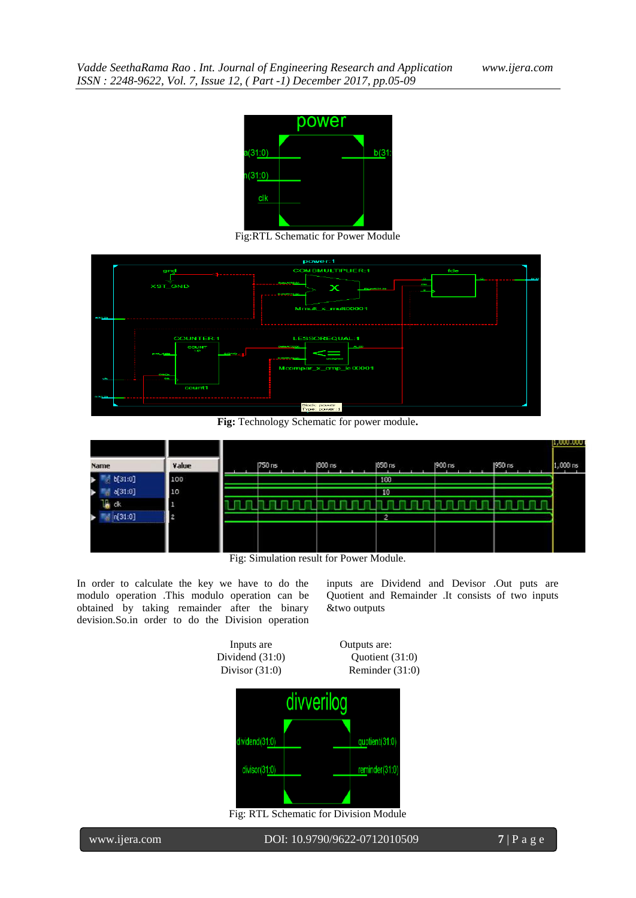

Fig:RTL Schematic for Power Module



**Fig:** Technology Schematic for power module**.**

| Value | [750 ns | 1800 ns | 1850 ns        | 1900 ns | 1950 ns | $\mu,000.000$<br>1,000 ns |
|-------|---------|---------|----------------|---------|---------|---------------------------|
| 100   |         |         | 100            |         |         |                           |
| 10    |         |         | 10             |         |         |                           |
|       |         |         |                |         |         |                           |
| 2     |         |         | $\overline{2}$ |         |         |                           |
|       |         |         |                |         |         |                           |
|       |         |         |                |         |         |                           |
|       |         |         |                |         |         |                           |

Fig: Simulation result for Power Module.

In order to calculate the key we have to do the modulo operation .This modulo operation can be obtained by taking remainder after the binary devision.So.in order to do the Division operation inputs are Dividend and Devisor .Out puts are Quotient and Remainder .It consists of two inputs &two outputs

Inputs are Outputs are: Dividend (31:0) Quotient (31:0) Divisor (31:0) Reminder (31:0)



Fig: RTL Schematic for Division Module

| www.ijera.com |
|---------------|
|               |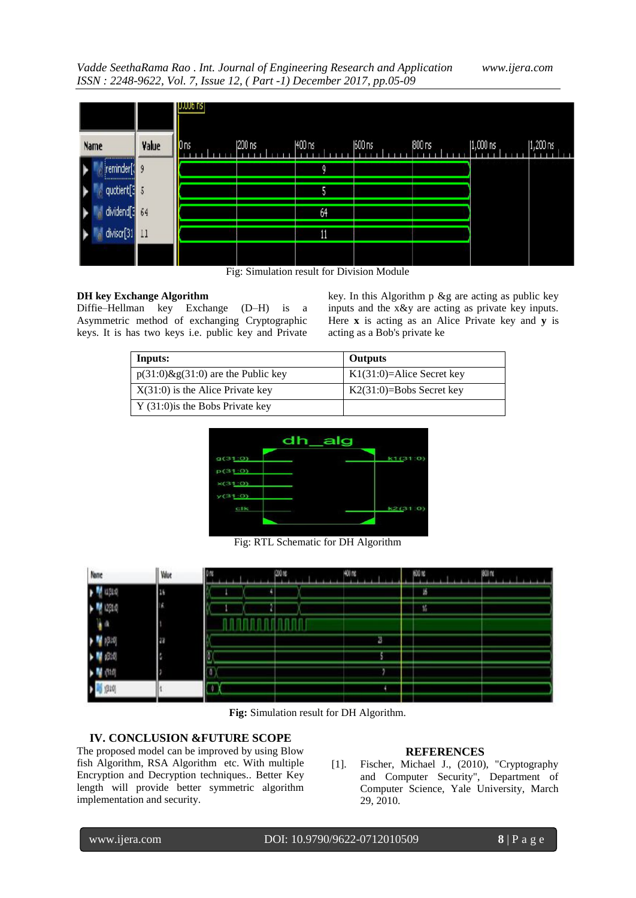*Vadde SeethaRama Rao . Int. Journal of Engineering Research and Application www.ijera.com ISSN : 2248-9622, Vol. 7, Issue 12, ( Part -1) December 2017, pp.05-09*

|                                |       | <b>I</b> UJUUN NSI |                        |                                                                              |                                                 |                  |             |                      |
|--------------------------------|-------|--------------------|------------------------|------------------------------------------------------------------------------|-------------------------------------------------|------------------|-------------|----------------------|
| Name<br>,,,,,,,,,,,,,,,,,,     | Value | $\mathsf{I}$ ons   | 200 ns                 | 1400 ns                                                                      | 600 ns                                          | $800\,\text{ns}$ | $ 1,000$ ns | $ 1,200 \text{ ns} $ |
| reminder[<br>----------------- | g     |                    |                        | O                                                                            |                                                 |                  |             |                      |
| quotient[3]                    |       |                    |                        | 5                                                                            |                                                 |                  |             |                      |
| dividend[3]                    | 64    |                    |                        | 64                                                                           |                                                 |                  |             |                      |
| divisor[31                     | Ħ     |                    |                        | 11                                                                           |                                                 |                  |             |                      |
|                                |       | $\mathbf{r}$       | $\sim$<br>$\mathbf{1}$ | $\mathbf{1} \cdot \mathbf{c}$ $\mathbf{D} \cdot \mathbf{A} \cdot \mathbf{c}$ | $\mathbf{X} \mathbf{X} = \mathbf{1} \mathbf{X}$ |                  |             |                      |

Fig: Simulation result for Division Module

# **DH key Exchange Algorithm**

Diffie–Hellman key Exchange (D–H) is a Asymmetric method of exchanging Cryptographic keys. It is has two keys i.e. public key and Private

key. In this Algorithm p &g are acting as public key inputs and the x&y are acting as private key inputs. Here **x** is acting as an Alice Private key and **y** is acting as a Bob's private ke

| Inputs:                               | Outputs                      |
|---------------------------------------|------------------------------|
| $p(31:0)$ &g(31:0) are the Public key | $K1(31:0)=$ Alice Secret key |
| $X(31:0)$ is the Alice Private key    | $K2(31:0)=Bobs$ Secret key   |
| $Y(31:0)$ is the Bobs Private key     |                              |



Fig: RTL Schematic for DH Algorithm

**Fig:** Simulation result for DH Algorithm.

# **IV. CONCLUSION &FUTURE SCOPE**

The proposed model can be improved by using Blow fish Algorithm, RSA Algorithm etc. With multiple Encryption and Decryption techniques.. Better Key length will provide better symmetric algorithm implementation and security.

# **REFERENCES**

[1]. Fischer, Michael J., (2010), "Cryptography and Computer Security", Department of Computer Science, Yale University, March 29, 2010.